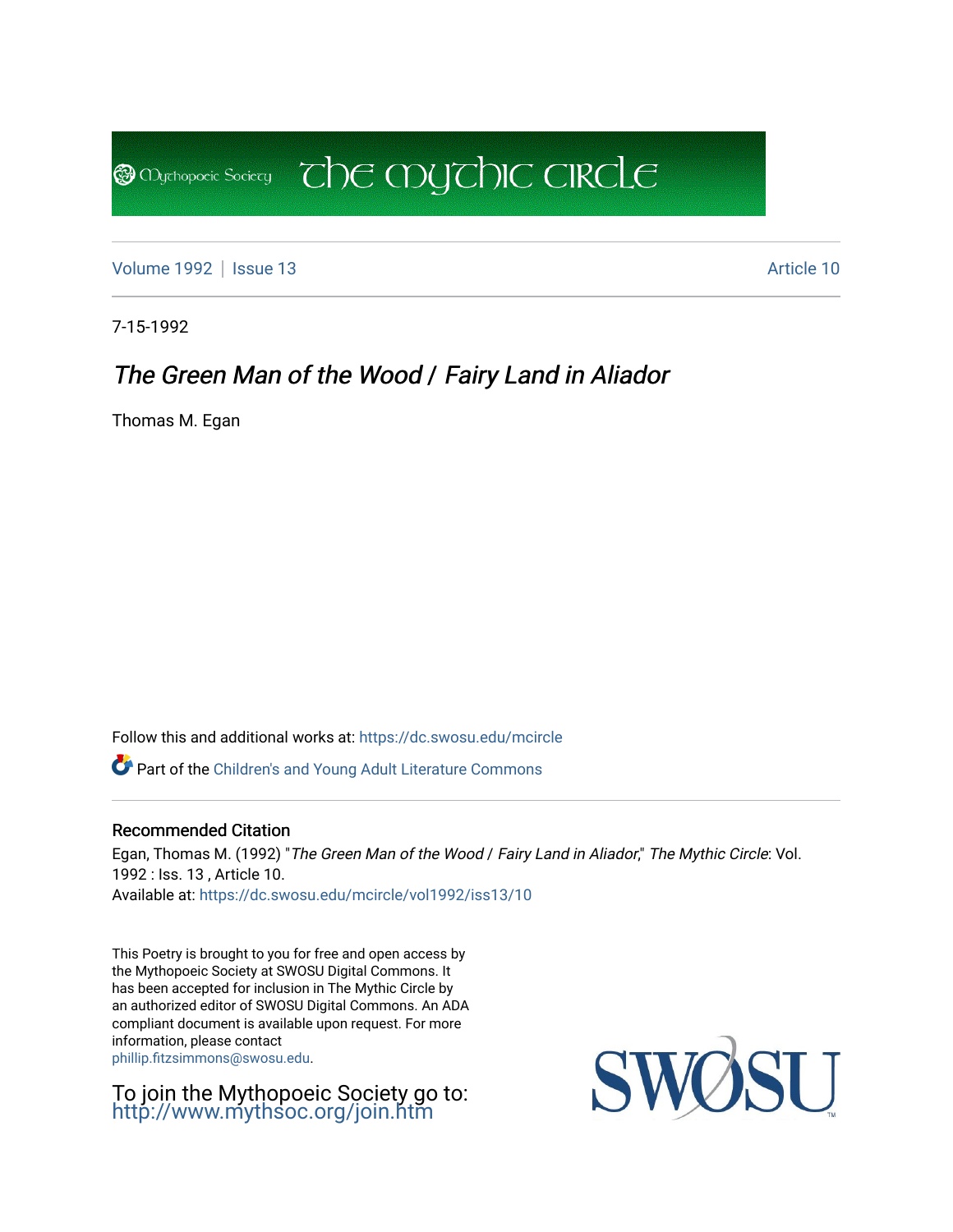[Volume 1992](https://dc.swosu.edu/mcircle/vol1992) | [Issue 13](https://dc.swosu.edu/mcircle/vol1992/iss13) Article 10

**B** Mychopoeic Sociecy

7-15-1992

### The Green Man of the Wood / Fairy Land in Aliador

 $\overline{C}$  the mychic circle

Thomas M. Egan

Follow this and additional works at: [https://dc.swosu.edu/mcircle](https://dc.swosu.edu/mcircle?utm_source=dc.swosu.edu%2Fmcircle%2Fvol1992%2Fiss13%2F10&utm_medium=PDF&utm_campaign=PDFCoverPages) 

Part of the [Children's and Young Adult Literature Commons](http://network.bepress.com/hgg/discipline/1289?utm_source=dc.swosu.edu%2Fmcircle%2Fvol1992%2Fiss13%2F10&utm_medium=PDF&utm_campaign=PDFCoverPages) 

#### Recommended Citation

Egan, Thomas M. (1992) "The Green Man of the Wood / Fairy Land in Aliador," The Mythic Circle: Vol. 1992 : Iss. 13 , Article 10. Available at: [https://dc.swosu.edu/mcircle/vol1992/iss13/10](https://dc.swosu.edu/mcircle/vol1992/iss13/10?utm_source=dc.swosu.edu%2Fmcircle%2Fvol1992%2Fiss13%2F10&utm_medium=PDF&utm_campaign=PDFCoverPages) 

This Poetry is brought to you for free and open access by the Mythopoeic Society at SWOSU Digital Commons. It has been accepted for inclusion in The Mythic Circle by an authorized editor of SWOSU Digital Commons. An ADA compliant document is available upon request. For more information, please contact [phillip.fitzsimmons@swosu.edu](mailto:phillip.fitzsimmons@swosu.edu).

To join the Mythopoeic Society go to: <http://www.mythsoc.org/join.htm>

SWO **STT**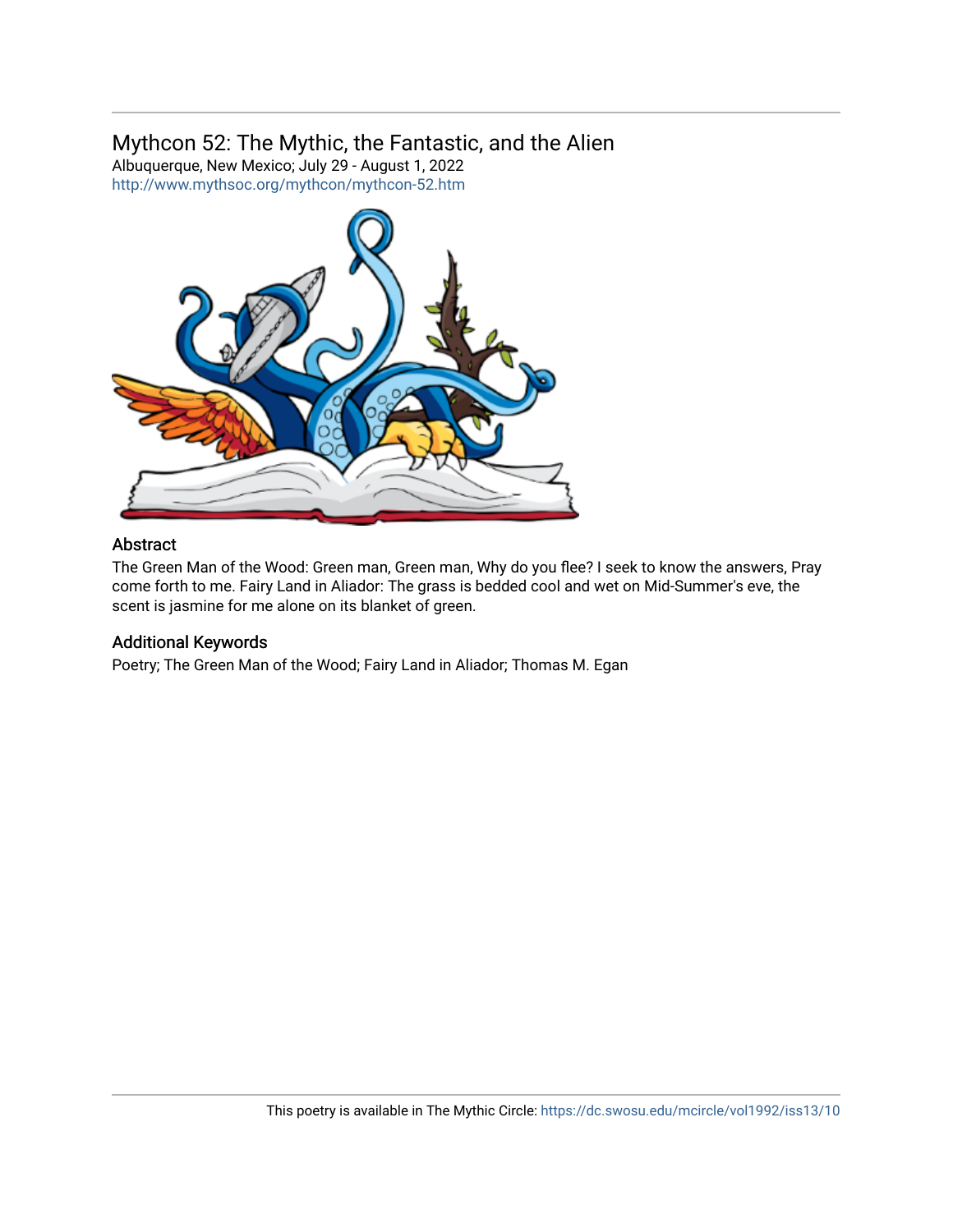### Mythcon 52: The Mythic, the Fantastic, and the Alien

Albuquerque, New Mexico; July 29 - August 1, 2022 <http://www.mythsoc.org/mythcon/mythcon-52.htm>



#### Abstract

The Green Man of the Wood: Green man, Green man, Why do you flee? I seek to know the answers, Pray come forth to me. Fairy Land in Aliador: The grass is bedded cool and wet on Mid-Summer's eve, the scent is jasmine for me alone on its blanket of green.

#### Additional Keywords

Poetry; The Green Man of the Wood; Fairy Land in Aliador; Thomas M. Egan